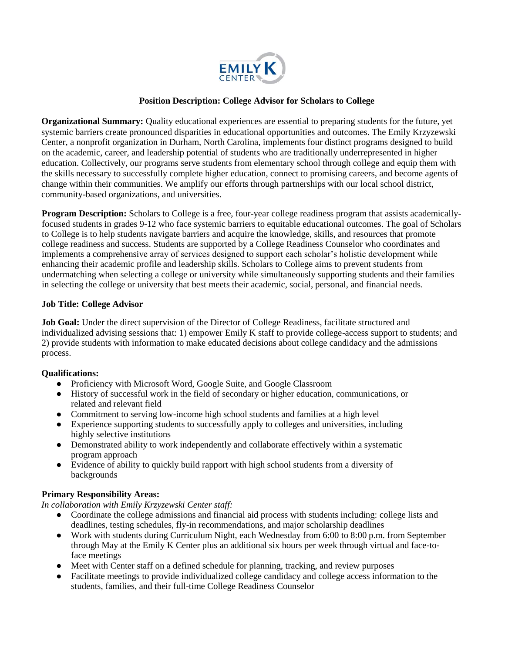

## **Position Description: College Advisor for Scholars to College**

**Organizational Summary:** Quality educational experiences are essential to preparing students for the future, yet systemic barriers create pronounced disparities in educational opportunities and outcomes. The Emily Krzyzewski Center, a nonprofit organization in Durham, North Carolina, implements four distinct programs designed to build on the academic, career, and leadership potential of students who are traditionally underrepresented in higher education. Collectively, our programs serve students from elementary school through college and equip them with the skills necessary to successfully complete higher education, connect to promising careers, and become agents of change within their communities. We amplify our efforts through partnerships with our local school district, community-based organizations, and universities.

**Program Description:** Scholars to College is a free, four-year college readiness program that assists academicallyfocused students in grades 9-12 who face systemic barriers to equitable educational outcomes. The goal of Scholars to College is to help students navigate barriers and acquire the knowledge, skills, and resources that promote college readiness and success. Students are supported by a College Readiness Counselor who coordinates and implements a comprehensive array of services designed to support each scholar's holistic development while enhancing their academic profile and leadership skills. Scholars to College aims to prevent students from undermatching when selecting a college or university while simultaneously supporting students and their families in selecting the college or university that best meets their academic, social, personal, and financial needs.

## **Job Title: College Advisor**

**Job Goal:** Under the direct supervision of the Director of College Readiness, facilitate structured and individualized advising sessions that: 1) empower Emily K staff to provide college-access support to students; and 2) provide students with information to make educated decisions about college candidacy and the admissions process.

## **Qualifications:**

- Proficiency with Microsoft Word, Google Suite, and Google Classroom
- History of successful work in the field of secondary or higher education, communications, or related and relevant field
- Commitment to serving low-income high school students and families at a high level
- Experience supporting students to successfully apply to colleges and universities, including highly selective institutions
- Demonstrated ability to work independently and collaborate effectively within a systematic program approach
- Evidence of ability to quickly build rapport with high school students from a diversity of backgrounds

## **Primary Responsibility Areas:**

*In collaboration with Emily Krzyzewski Center staff:* 

- Coordinate the college admissions and financial aid process with students including: college lists and deadlines, testing schedules, fly-in recommendations, and major scholarship deadlines
- Work with students during Curriculum Night, each Wednesday from 6:00 to 8:00 p.m. from September through May at the Emily K Center plus an additional six hours per week through virtual and face-toface meetings
- Meet with Center staff on a defined schedule for planning, tracking, and review purposes
- Facilitate meetings to provide individualized college candidacy and college access information to the students, families, and their full-time College Readiness Counselor